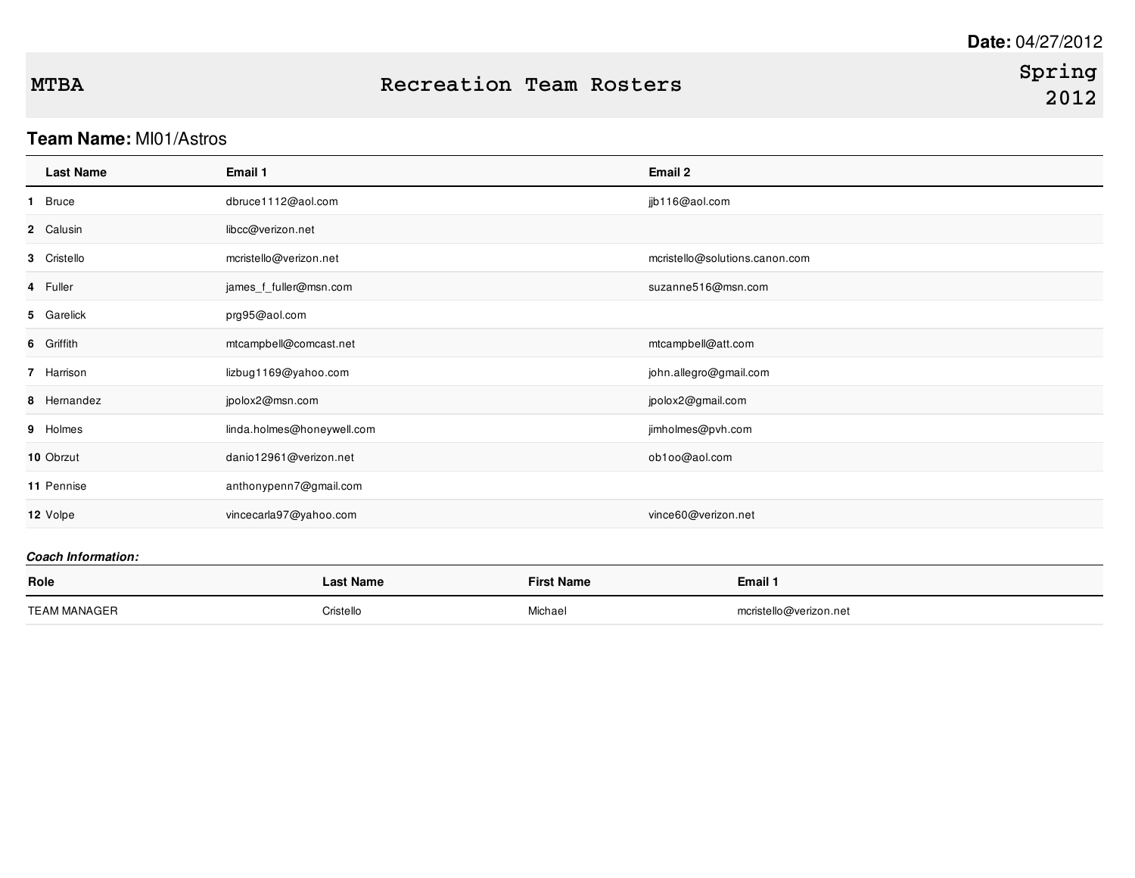### **Team Name:** MI01/Astros

| <b>Last Name</b> | Email 1                    | Email 2                        |
|------------------|----------------------------|--------------------------------|
| 1 Bruce          | dbruce1112@aol.com         | jjb116@aol.com                 |
| 2 Calusin        | libcc@verizon.net          |                                |
| 3 Cristello      | mcristello@verizon.net     | mcristello@solutions.canon.com |
| 4 Fuller         | james_f_fuller@msn.com     | suzanne516@msn.com             |
| 5 Garelick       | prg95@aol.com              |                                |
| 6 Griffith       | mtcampbell@comcast.net     | mtcampbell@att.com             |
| 7 Harrison       | lizbug1169@yahoo.com       | john.allegro@gmail.com         |
| 8 Hernandez      | jpolox2@msn.com            | jpolox2@gmail.com              |
| 9 Holmes         | linda.holmes@honeywell.com | jimholmes@pvh.com              |
| 10 Obrzut        | danio12961@verizon.net     | ob1oo@aol.com                  |
| 11 Pennise       | anthonypenn7@gmail.com     |                                |
| 12 Volpe         | vincecarla97@yahoo.com     | vince60@verizon.net            |
|                  |                            |                                |

| Role                | Last Name | <b>First Name</b> | Email 1                |
|---------------------|-----------|-------------------|------------------------|
|                     |           |                   |                        |
| <b>TEAM MANAGER</b> | Cristello | Michael           | mcristello@verizon.net |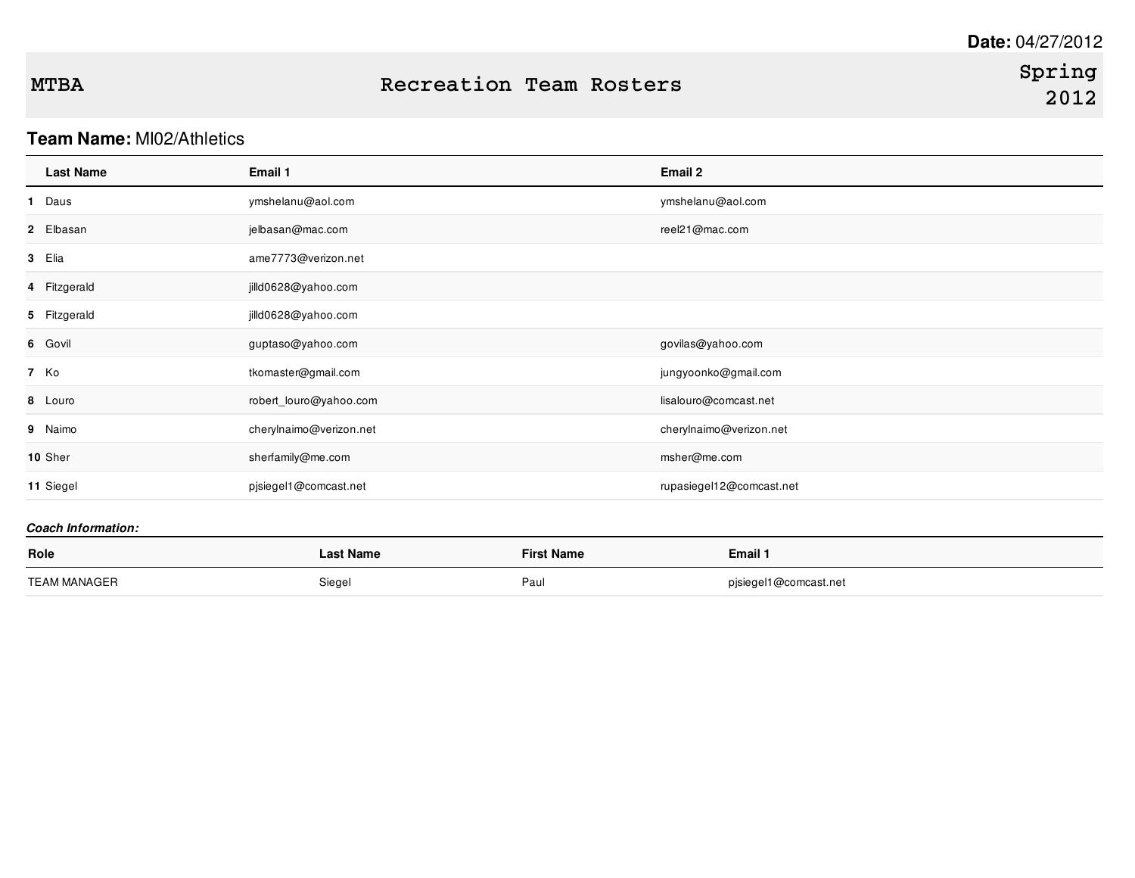### **Team Name:** MI02/Athletics

| <b>Last Name</b> | Email 1                 | Email 2                  |
|------------------|-------------------------|--------------------------|
| 1 Daus           | ymshelanu@aol.com       | ymshelanu@aol.com        |
| 2 Elbasan        | jelbasan@mac.com        | reel21@mac.com           |
| 3 Elia           | ame7773@verizon.net     |                          |
| 4 Fitzgerald     | jilld0628@yahoo.com     |                          |
| 5 Fitzgerald     | jilld0628@yahoo.com     |                          |
| 6 Govil          | guptaso@yahoo.com       | govilas@yahoo.com        |
| 7 Ko             | tkomaster@gmail.com     | jungyoonko@gmail.com     |
| 8 Louro          | robert_louro@yahoo.com  | lisalouro@comcast.net    |
| 9 Naimo          | cherylnaimo@verizon.net | cherylnaimo@verizon.net  |
| 10 Sher          | sherfamily@me.com       | msher@me.com             |
| 11 Siegel        | pjsiegel1@comcast.net   | rupasiegel12@comcast.net |
|                  |                         |                          |

| Role         | Last Name | <b>First Name</b> | Email 1               |
|--------------|-----------|-------------------|-----------------------|
| TEAM MANAGER | Siegel    | Paul              | pjsiegel1@comcast.net |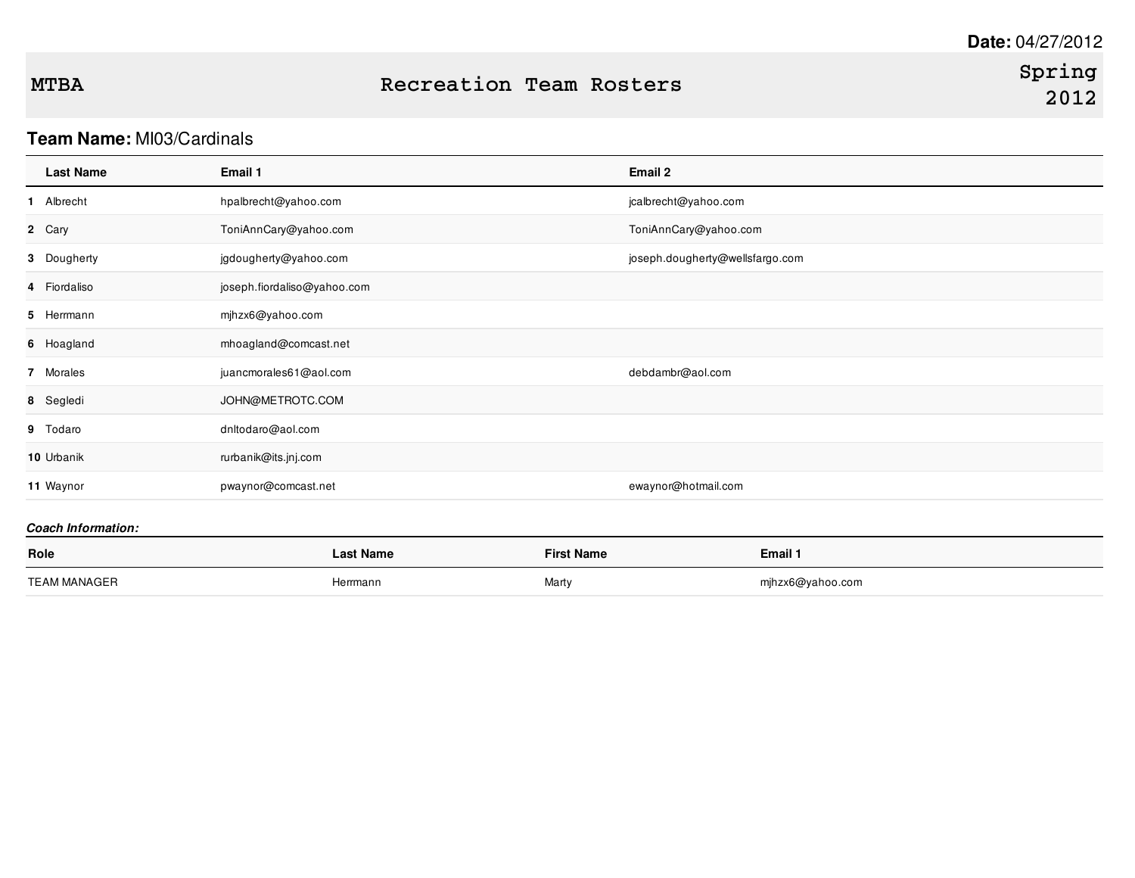### **Team Name:** MI03/Cardinals

| <b>Last Name</b> | Email 1                     | Email 2                         |
|------------------|-----------------------------|---------------------------------|
| 1 Albrecht       | hpalbrecht@yahoo.com        | jcalbrecht@yahoo.com            |
| 2 Cary           | ToniAnnCary@yahoo.com       | ToniAnnCary@yahoo.com           |
| 3 Dougherty      | jgdougherty@yahoo.com       | joseph.dougherty@wellsfargo.com |
| 4 Fiordaliso     | joseph.fiordaliso@yahoo.com |                                 |
| 5 Herrmann       | mjhzx6@yahoo.com            |                                 |
| 6 Hoagland       | mhoagland@comcast.net       |                                 |
| 7 Morales        | juancmorales61@aol.com      | debdambr@aol.com                |
| 8 Segledi        | JOHN@METROTC.COM            |                                 |
| 9 Todaro         | dnltodaro@aol.com           |                                 |
| 10 Urbanik       | rurbanik@its.jnj.com        |                                 |
| 11 Waynor        | pwaynor@comcast.net         | ewaynor@hotmail.com             |

| Role         | <b>Last Name</b> | <b>First Name</b> | Email 1          |
|--------------|------------------|-------------------|------------------|
| TEAM MANAGER | Herrmann         | Marty             | mjhzx6@yahoo.com |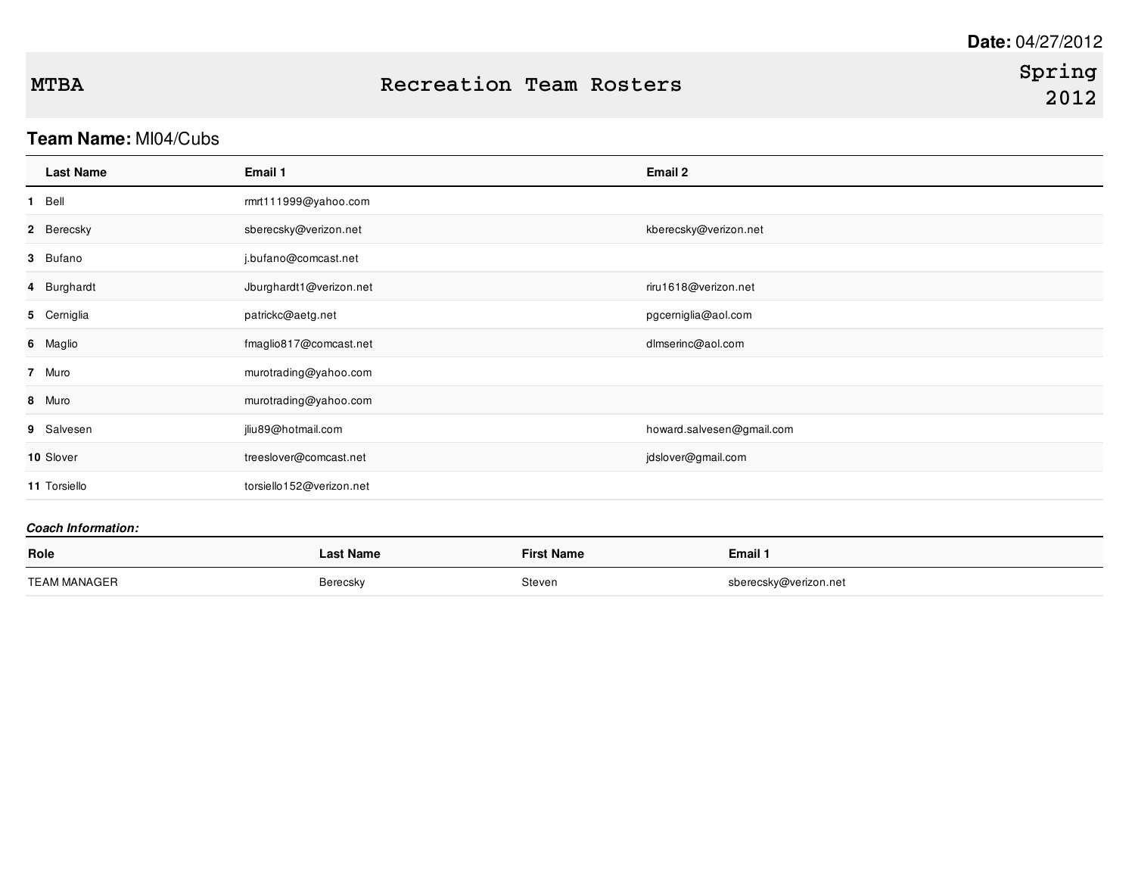# **Team Name:** MI04/Cubs

| <b>Last Name</b> | Email 1                  | Email 2                   |
|------------------|--------------------------|---------------------------|
| 1 Bell           | rmrt111999@yahoo.com     |                           |
| 2 Berecsky       | sberecsky@verizon.net    | kberecsky@verizon.net     |
| 3 Bufano         | j.bufano@comcast.net     |                           |
| 4 Burghardt      | Jburghardt1@verizon.net  | riru1618@verizon.net      |
| 5 Cerniglia      | patrickc@aetg.net        | pgcerniglia@aol.com       |
| 6 Maglio         | fmaglio817@comcast.net   | dlmserinc@aol.com         |
| 7 Muro           | murotrading@yahoo.com    |                           |
| 8 Muro           | murotrading@yahoo.com    |                           |
| 9 Salvesen       | jliu89@hotmail.com       | howard.salvesen@gmail.com |
| 10 Slover        | treeslover@comcast.net   | jdslover@gmail.com        |
| 11 Torsiello     | torsiello152@verizon.net |                           |
|                  |                          |                           |

| Role         | <b>Last Name</b> | <b>First Name</b> | Email 1               |
|--------------|------------------|-------------------|-----------------------|
| TEAM MANAGER | Berecsky         | Steven            | sberecsky@verizon.net |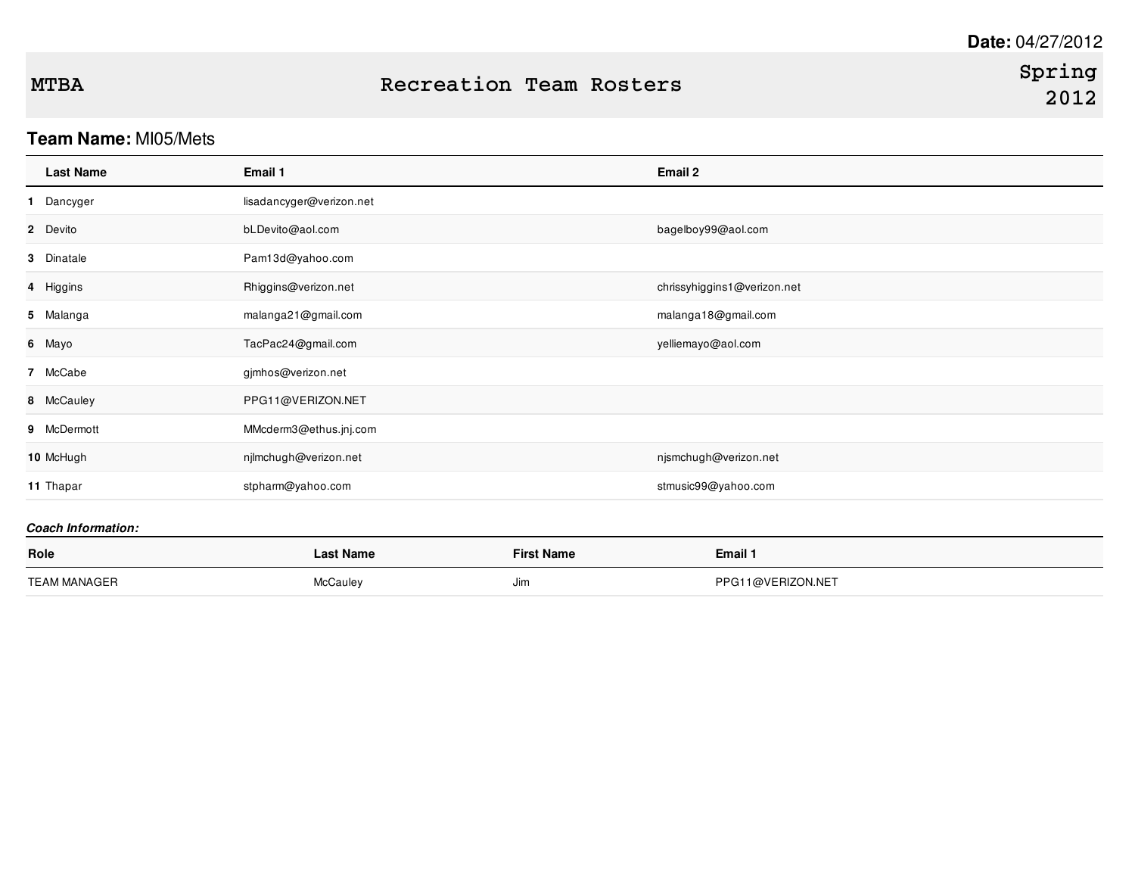## **Team Name:** MI05/Mets

| <b>Last Name</b>          | Email 1                  |                   | Email 2                     |
|---------------------------|--------------------------|-------------------|-----------------------------|
| 1 Dancyger                | lisadancyger@verizon.net |                   |                             |
| 2 Devito                  | bLDevito@aol.com         |                   | bagelboy99@aol.com          |
| 3 Dinatale                | Pam13d@yahoo.com         |                   |                             |
| 4 Higgins                 | Rhiggins@verizon.net     |                   | chrissyhiggins1@verizon.net |
| 5 Malanga                 | malanga21@gmail.com      |                   | malanga18@gmail.com         |
| 6 Mayo                    | TacPac24@gmail.com       |                   | yelliemayo@aol.com          |
| 7 McCabe                  | gjmhos@verizon.net       |                   |                             |
| 8 McCauley                | PPG11@VERIZON.NET        |                   |                             |
| 9 McDermott               | MMcderm3@ethus.jnj.com   |                   |                             |
| 10 McHugh                 | njlmchugh@verizon.net    |                   | njsmchugh@verizon.net       |
| 11 Thapar                 | stpharm@yahoo.com        |                   | stmusic99@yahoo.com         |
| <b>Coach Information:</b> |                          |                   |                             |
| Role                      | <b>Last Name</b>         | <b>First Name</b> | Email 1                     |

TEAM MANAGER **Manufacture Contract Contract McCauley** McCauley Jim Jim Department of PPG11@VERIZON.NET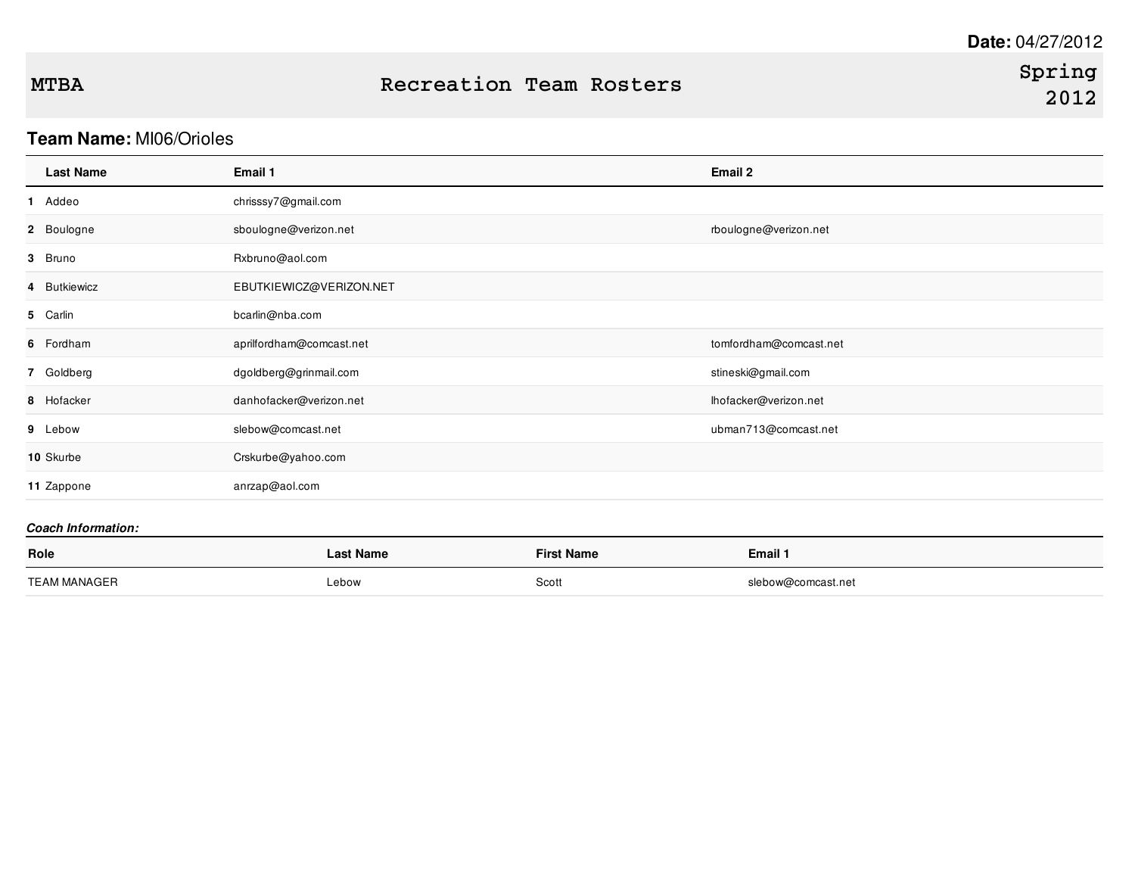# **Team Name:** MI06/Orioles

| <b>Last Name</b> | Email 1                  | Email 2                |
|------------------|--------------------------|------------------------|
| 1 Addeo          | chrisssy7@gmail.com      |                        |
| 2 Boulogne       | sboulogne@verizon.net    | rboulogne@verizon.net  |
| 3 Bruno          | Rxbruno@aol.com          |                        |
| 4 Butkiewicz     | EBUTKIEWICZ@VERIZON.NET  |                        |
| 5 Carlin         | bcarlin@nba.com          |                        |
| 6 Fordham        | aprilfordham@comcast.net | tomfordham@comcast.net |
| 7 Goldberg       | dgoldberg@grinmail.com   | stineski@gmail.com     |
| 8 Hofacker       | danhofacker@verizon.net  | lhofacker@verizon.net  |
| 9 Lebow          | slebow@comcast.net       | ubman713@comcast.net   |
| 10 Skurbe        | Crskurbe@yahoo.com       |                        |
| 11 Zappone       | anrzap@aol.com           |                        |

| Role         | ∟ast Name  | <b>First Name</b> | Email 1            |
|--------------|------------|-------------------|--------------------|
| TEAM MANAGER | Lebow<br>. | Scott             | slebow@comcast.net |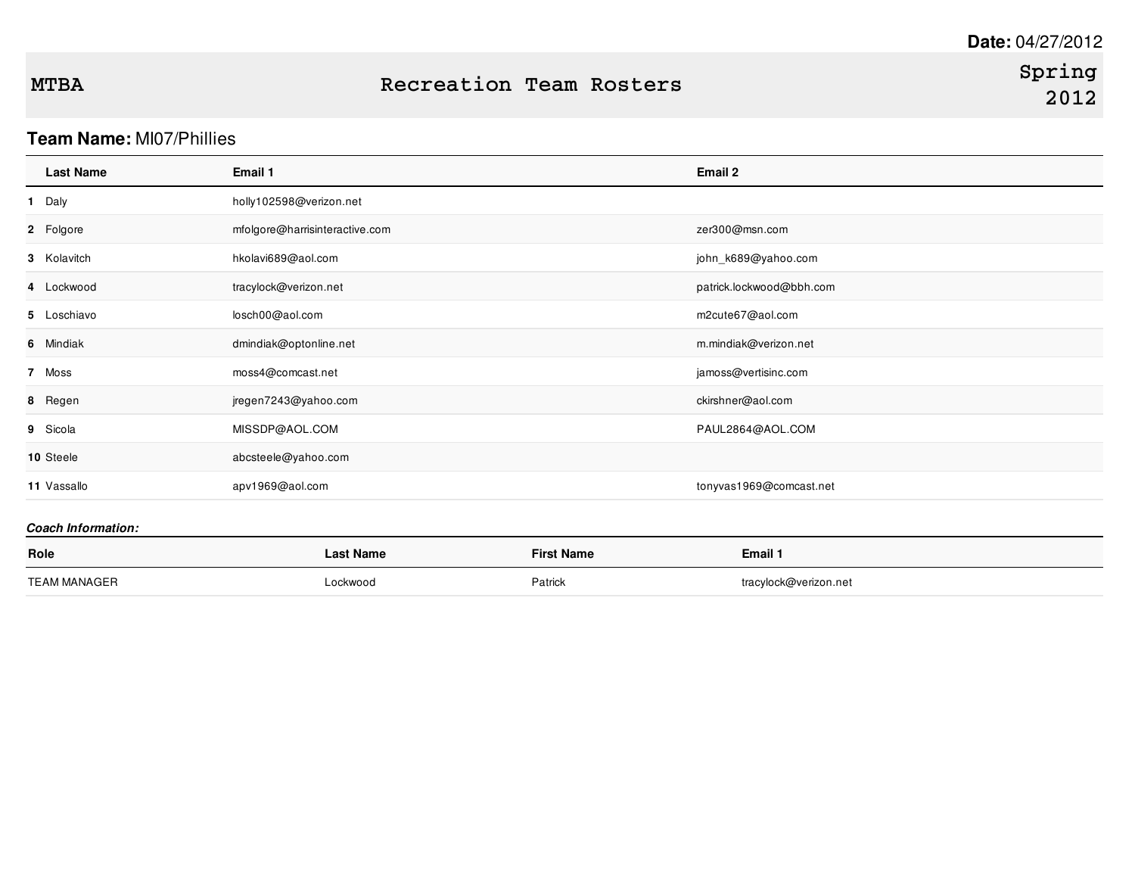## **Team Name:** MI07/Phillies

| <b>Last Name</b> | Email 1                        | Email 2                  |
|------------------|--------------------------------|--------------------------|
| 1 Daly           | holly102598@verizon.net        |                          |
| 2 Folgore        | mfolgore@harrisinteractive.com | zer300@msn.com           |
| 3 Kolavitch      | hkolavi689@aol.com             | john_k689@yahoo.com      |
| 4 Lockwood       | tracylock@verizon.net          | patrick.lockwood@bbh.com |
| 5 Loschiavo      | losch00@aol.com                | m2cute67@aol.com         |
| 6 Mindiak        | dmindiak@optonline.net         | m.mindiak@verizon.net    |
| 7 Moss           | moss4@comcast.net              | jamoss@vertisinc.com     |
| 8 Regen          | jregen7243@yahoo.com           | ckirshner@aol.com        |
| 9 Sicola         | MISSDP@AOL.COM                 | PAUL2864@AOL.COM         |
| 10 Steele        | abcsteele@yahoo.com            |                          |
| 11 Vassallo      | apv1969@aol.com                | tonyvas1969@comcast.net  |

| Role         | <b>Last Name</b> | First Name | Email 1               |
|--------------|------------------|------------|-----------------------|
| TEAM MANAGER | Lockwood         | Patrick    | tracylock@verizon.net |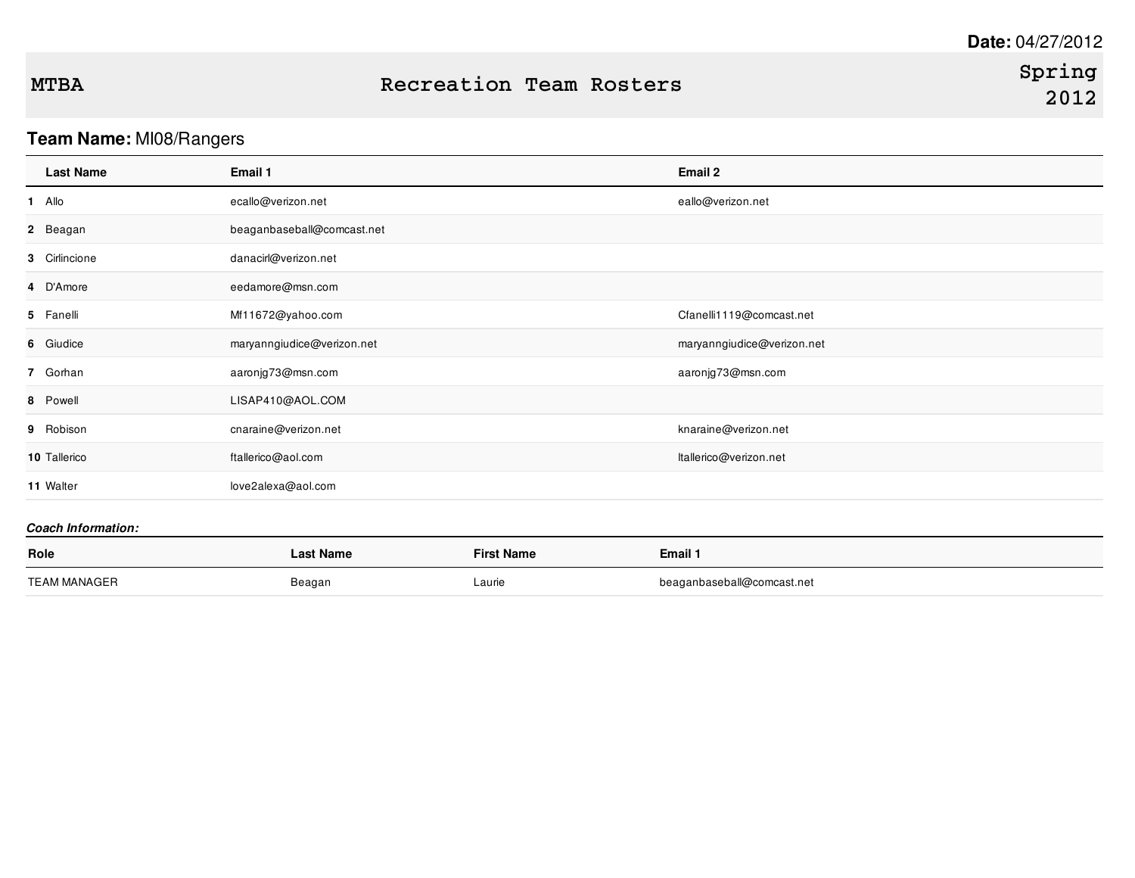# **Team Name:** MI08/Rangers

|        | <b>Last Name</b> | Email 1                    | Email 2                    |
|--------|------------------|----------------------------|----------------------------|
| 1 Allo |                  | ecallo@verizon.net         | eallo@verizon.net          |
|        | 2 Beagan         | beaganbaseball@comcast.net |                            |
|        | 3 Cirlincione    | danacirl@verizon.net       |                            |
|        | 4 D'Amore        | eedamore@msn.com           |                            |
|        | 5 Fanelli        | Mf11672@yahoo.com          | Cfanelli1119@comcast.net   |
|        | 6 Giudice        | maryanngiudice@verizon.net | maryanngiudice@verizon.net |
|        | 7 Gorhan         | aaronjg73@msn.com          | aaronjg73@msn.com          |
|        | 8 Powell         | LISAP410@AOL.COM           |                            |
|        | 9 Robison        | cnaraine@verizon.net       | knaraine@verizon.net       |
|        | 10 Tallerico     | ftallerico@aol.com         | ltallerico@verizon.net     |
|        | 11 Walter        | love2alexa@aol.com         |                            |
|        |                  |                            |                            |

| Role         | Last Name | <b>First Name</b> | Email 1                    |
|--------------|-----------|-------------------|----------------------------|
| TEAM MANAGER | Beagan    | Laurie            | beaganbaseball@comcast.net |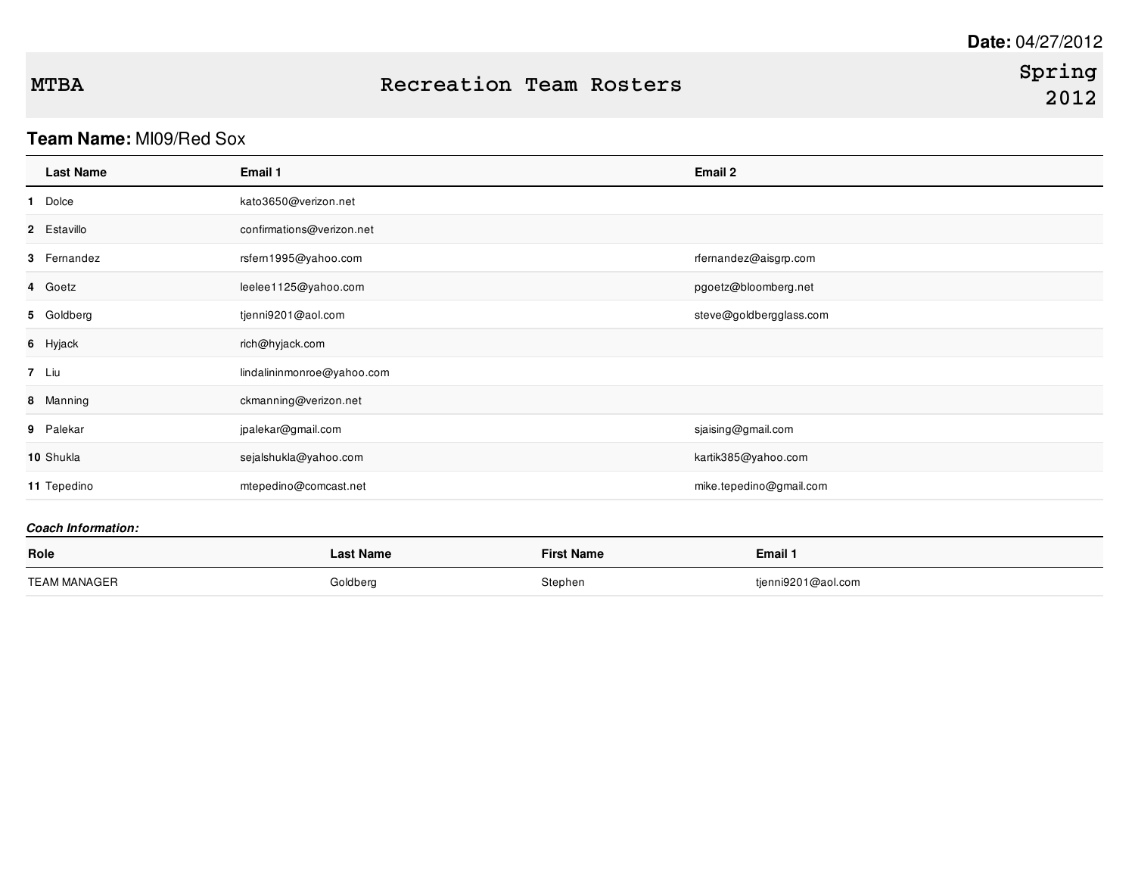# **Team Name:** MI09/Red Sox

| <b>Last Name</b> | Email 1                    | Email 2                 |
|------------------|----------------------------|-------------------------|
| 1 Dolce          | kato3650@verizon.net       |                         |
| 2 Estavillo      | confirmations@verizon.net  |                         |
| 3 Femandez       | rsfern1995@yahoo.com       | rfernandez@aisgrp.com   |
| 4 Goetz          | leelee1125@yahoo.com       | pgoetz@bloomberg.net    |
| 5 Goldberg       | tjenni9201@aol.com         | steve@goldbergglass.com |
| 6 Hyjack         | rich@hyjack.com            |                         |
| 7 Liu            | lindalininmonroe@yahoo.com |                         |
| 8 Manning        | ckmanning@verizon.net      |                         |
| 9 Palekar        | jpalekar@gmail.com         | sjaising@gmail.com      |
| 10 Shukla        | sejalshukla@yahoo.com      | kartik385@yahoo.com     |
| 11 Tepedino      | mtepedino@comcast.net      | mike.tepedino@gmail.com |

| Role                | Last Name | First Name | Email 1            |
|---------------------|-----------|------------|--------------------|
| <b>TEAM MANAGER</b> | Goldberg  | Stephen    | tjenni9201@aol.com |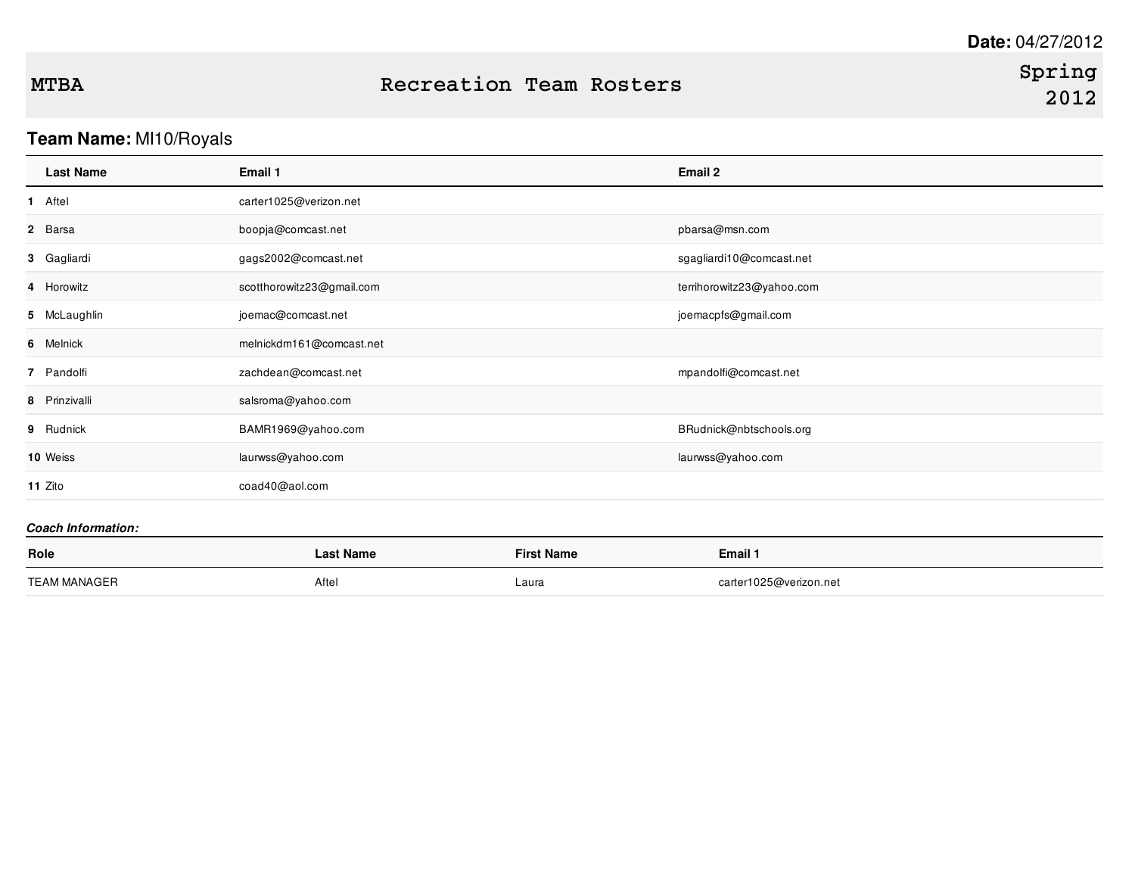# **Team Name:** MI10/Royals

| <b>Last Name</b> | Email 1                   | Email 2                   |
|------------------|---------------------------|---------------------------|
| 1 Aftel          | carter1025@verizon.net    |                           |
| 2 Barsa          | boopja@comcast.net        | pbarsa@msn.com            |
| 3 Gagliardi      | gags2002@comcast.net      | sgagliardi10@comcast.net  |
| 4 Horowitz       | scotthorowitz23@gmail.com | terrihorowitz23@yahoo.com |
| 5 McLaughlin     | joemac@comcast.net        | joemacpfs@gmail.com       |
| 6 Melnick        | melnickdm161@comcast.net  |                           |
| 7 Pandolfi       | zachdean@comcast.net      | mpandolfi@comcast.net     |
| 8 Prinzivalli    | salsroma@yahoo.com        |                           |
| 9 Rudnick        | BAMR1969@yahoo.com        | BRudnick@nbtschools.org   |
| 10 Weiss         | laurwss@yahoo.com         | laurwss@yahoo.com         |
| 11 Zito          | coad40@aol.com            |                           |
|                  |                           |                           |

| Role         | Last Name | <b>First Name</b> | Email 1                |
|--------------|-----------|-------------------|------------------------|
| TEAM MANAGER | Aftel     | Laura             | carter1025@verizon.net |